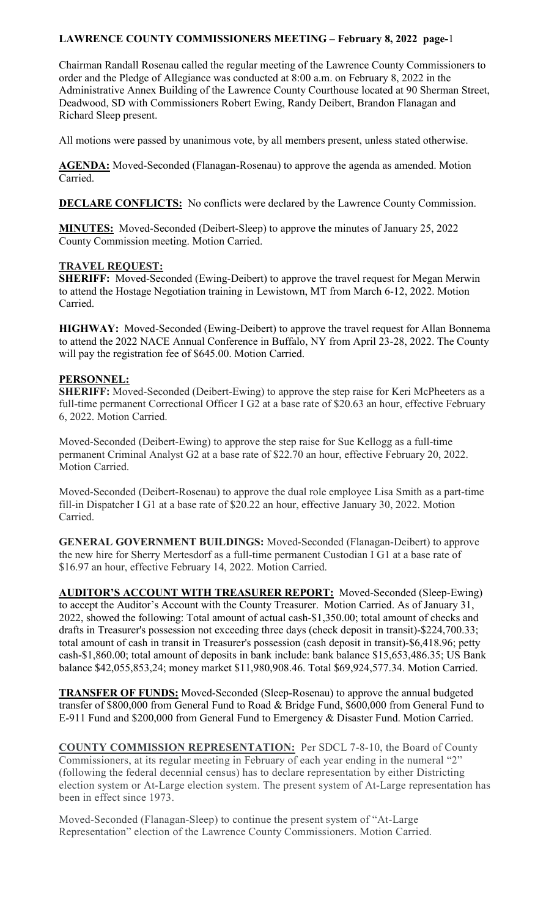Chairman Randall Rosenau called the regular meeting of the Lawrence County Commissioners to order and the Pledge of Allegiance was conducted at 8:00 a.m. on February 8, 2022 in the Administrative Annex Building of the Lawrence County Courthouse located at 90 Sherman Street, Deadwood, SD with Commissioners Robert Ewing, Randy Deibert, Brandon Flanagan and Richard Sleep present.

All motions were passed by unanimous vote, by all members present, unless stated otherwise.

**AGENDA:** Moved-Seconded (Flanagan-Rosenau) to approve the agenda as amended. Motion Carried.

**DECLARE CONFLICTS:** No conflicts were declared by the Lawrence County Commission.

**MINUTES:** Moved-Seconded (Deibert-Sleep) to approve the minutes of January 25, 2022 County Commission meeting. Motion Carried.

#### **TRAVEL REQUEST:**

**SHERIFF:** Moved-Seconded (Ewing-Deibert) to approve the travel request for Megan Merwin to attend the Hostage Negotiation training in Lewistown, MT from March 6-12, 2022. Motion Carried.

**HIGHWAY:** Moved-Seconded (Ewing-Deibert) to approve the travel request for Allan Bonnema to attend the 2022 NACE Annual Conference in Buffalo, NY from April 23-28, 2022. The County will pay the registration fee of \$645.00. Motion Carried.

#### **PERSONNEL:**

**SHERIFF:** Moved-Seconded (Deibert-Ewing) to approve the step raise for Keri McPheeters as a full-time permanent Correctional Officer I G2 at a base rate of \$20.63 an hour, effective February 6, 2022. Motion Carried.

Moved-Seconded (Deibert-Ewing) to approve the step raise for Sue Kellogg as a full-time permanent Criminal Analyst G2 at a base rate of \$22.70 an hour, effective February 20, 2022. Motion Carried.

Moved-Seconded (Deibert-Rosenau) to approve the dual role employee Lisa Smith as a part-time fill-in Dispatcher I G1 at a base rate of \$20.22 an hour, effective January 30, 2022. Motion Carried.

**GENERAL GOVERNMENT BUILDINGS:** Moved-Seconded (Flanagan-Deibert) to approve the new hire for Sherry Mertesdorf as a full-time permanent Custodian I G1 at a base rate of \$16.97 an hour, effective February 14, 2022. Motion Carried.

**AUDITOR'S ACCOUNT WITH TREASURER REPORT:** Moved-Seconded (Sleep-Ewing) to accept the Auditor's Account with the County Treasurer. Motion Carried. As of January 31, 2022, showed the following: Total amount of actual cash-\$1,350.00; total amount of checks and drafts in Treasurer's possession not exceeding three days (check deposit in transit)-\$224,700.33; total amount of cash in transit in Treasurer's possession (cash deposit in transit)-\$6,418.96; petty cash-\$1,860.00; total amount of deposits in bank include: bank balance \$15,653,486.35; US Bank balance \$42,055,853,24; money market \$11,980,908.46. Total \$69,924,577.34. Motion Carried.

**TRANSFER OF FUNDS:** Moved-Seconded (Sleep-Rosenau) to approve the annual budgeted transfer of \$800,000 from General Fund to Road & Bridge Fund, \$600,000 from General Fund to E-911 Fund and \$200,000 from General Fund to Emergency & Disaster Fund. Motion Carried.

**COUNTY COMMISSION REPRESENTATION:** Per SDCL 7-8-10, the Board of County Commissioners, at its regular meeting in February of each year ending in the numeral "2" (following the federal decennial census) has to declare representation by either Districting election system or At-Large election system. The present system of At-Large representation has been in effect since 1973.

Moved-Seconded (Flanagan-Sleep) to continue the present system of "At-Large Representation" election of the Lawrence County Commissioners. Motion Carried.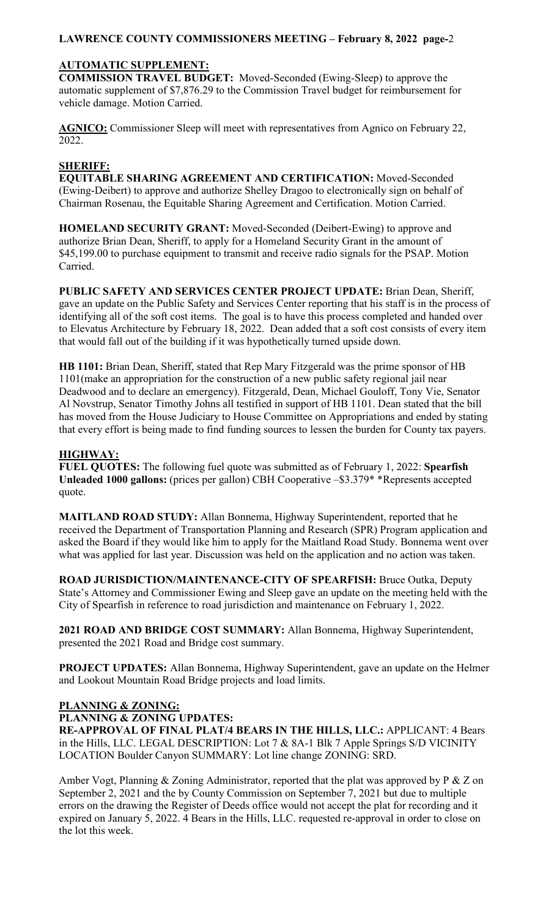#### **AUTOMATIC SUPPLEMENT:**

**COMMISSION TRAVEL BUDGET:** Moved-Seconded (Ewing-Sleep) to approve the automatic supplement of \$7,876.29 to the Commission Travel budget for reimbursement for vehicle damage. Motion Carried.

**AGNICO:** Commissioner Sleep will meet with representatives from Agnico on February 22, 2022.

## **SHERIFF:**

**EQUITABLE SHARING AGREEMENT AND CERTIFICATION:** Moved-Seconded (Ewing-Deibert) to approve and authorize Shelley Dragoo to electronically sign on behalf of Chairman Rosenau, the Equitable Sharing Agreement and Certification. Motion Carried.

**HOMELAND SECURITY GRANT:** Moved-Seconded (Deibert-Ewing) to approve and authorize Brian Dean, Sheriff, to apply for a Homeland Security Grant in the amount of \$45,199.00 to purchase equipment to transmit and receive radio signals for the PSAP. Motion Carried.

**PUBLIC SAFETY AND SERVICES CENTER PROJECT UPDATE:** Brian Dean, Sheriff, gave an update on the Public Safety and Services Center reporting that his staff is in the process of identifying all of the soft cost items. The goal is to have this process completed and handed over to Elevatus Architecture by February 18, 2022. Dean added that a soft cost consists of every item that would fall out of the building if it was hypothetically turned upside down.

**HB 1101:** Brian Dean, Sheriff, stated that Rep Mary Fitzgerald was the prime sponsor of HB 1101(make an appropriation for the construction of a new public safety regional jail near Deadwood and to declare an emergency). Fitzgerald, Dean, Michael Gouloff, Tony Vie, Senator Al Novstrup, Senator Timothy Johns all testified in support of HB 1101. Dean stated that the bill has moved from the House Judiciary to House Committee on Appropriations and ended by stating that every effort is being made to find funding sources to lessen the burden for County tax payers.

## **HIGHWAY:**

**FUEL QUOTES:** The following fuel quote was submitted as of February 1, 2022: **Spearfish Unleaded 1000 gallons:** (prices per gallon) CBH Cooperative –\$3.379\* \*Represents accepted quote.

**MAITLAND ROAD STUDY:** Allan Bonnema, Highway Superintendent, reported that he received the Department of Transportation Planning and Research (SPR) Program application and asked the Board if they would like him to apply for the Maitland Road Study. Bonnema went over what was applied for last year. Discussion was held on the application and no action was taken.

**ROAD JURISDICTION/MAINTENANCE-CITY OF SPEARFISH:** Bruce Outka, Deputy State's Attorney and Commissioner Ewing and Sleep gave an update on the meeting held with the City of Spearfish in reference to road jurisdiction and maintenance on February 1, 2022.

**2021 ROAD AND BRIDGE COST SUMMARY:** Allan Bonnema, Highway Superintendent, presented the 2021 Road and Bridge cost summary.

**PROJECT UPDATES:** Allan Bonnema, Highway Superintendent, gave an update on the Helmer and Lookout Mountain Road Bridge projects and load limits.

# **PLANNING & ZONING:**

**PLANNING & ZONING UPDATES:** 

**RE-APPROVAL OF FINAL PLAT/4 BEARS IN THE HILLS, LLC.:** APPLICANT: 4 Bears in the Hills, LLC. LEGAL DESCRIPTION: Lot 7 & 8A-1 Blk 7 Apple Springs S/D VICINITY LOCATION Boulder Canyon SUMMARY: Lot line change ZONING: SRD.

Amber Vogt, Planning & Zoning Administrator, reported that the plat was approved by P & Z on September 2, 2021 and the by County Commission on September 7, 2021 but due to multiple errors on the drawing the Register of Deeds office would not accept the plat for recording and it expired on January 5, 2022. 4 Bears in the Hills, LLC. requested re-approval in order to close on the lot this week.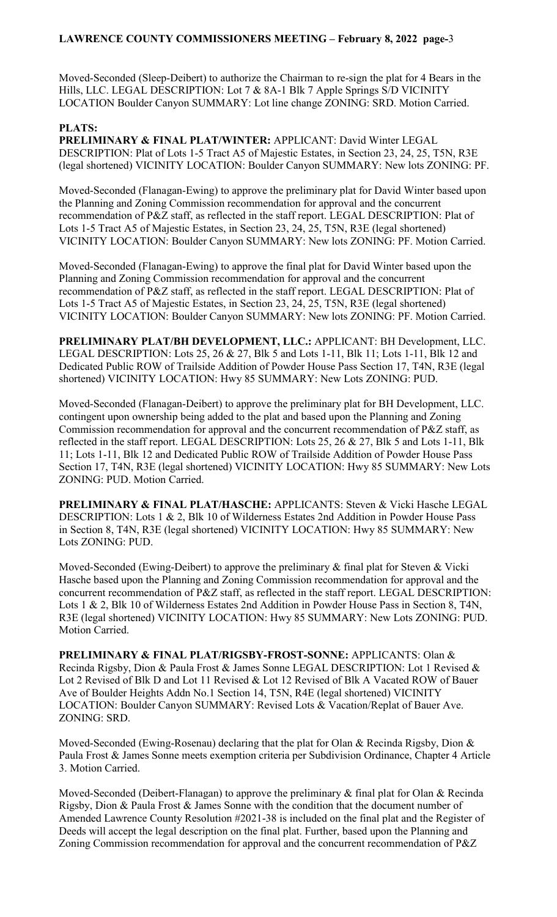Moved-Seconded (Sleep-Deibert) to authorize the Chairman to re-sign the plat for 4 Bears in the Hills, LLC. LEGAL DESCRIPTION: Lot 7 & 8A-1 Blk 7 Apple Springs S/D VICINITY LOCATION Boulder Canyon SUMMARY: Lot line change ZONING: SRD. Motion Carried.

#### **PLATS:**

**PRELIMINARY & FINAL PLAT/WINTER:** APPLICANT: David Winter LEGAL DESCRIPTION: Plat of Lots 1-5 Tract A5 of Majestic Estates, in Section 23, 24, 25, T5N, R3E (legal shortened) VICINITY LOCATION: Boulder Canyon SUMMARY: New lots ZONING: PF.

Moved-Seconded (Flanagan-Ewing) to approve the preliminary plat for David Winter based upon the Planning and Zoning Commission recommendation for approval and the concurrent recommendation of P&Z staff, as reflected in the staff report. LEGAL DESCRIPTION: Plat of Lots 1-5 Tract A5 of Majestic Estates, in Section 23, 24, 25, T5N, R3E (legal shortened) VICINITY LOCATION: Boulder Canyon SUMMARY: New lots ZONING: PF. Motion Carried.

Moved-Seconded (Flanagan-Ewing) to approve the final plat for David Winter based upon the Planning and Zoning Commission recommendation for approval and the concurrent recommendation of P&Z staff, as reflected in the staff report. LEGAL DESCRIPTION: Plat of Lots 1-5 Tract A5 of Majestic Estates, in Section 23, 24, 25, T5N, R3E (legal shortened) VICINITY LOCATION: Boulder Canyon SUMMARY: New lots ZONING: PF. Motion Carried.

**PRELIMINARY PLAT/BH DEVELOPMENT, LLC.:** APPLICANT: BH Development, LLC. LEGAL DESCRIPTION: Lots 25, 26 & 27, Blk 5 and Lots 1-11, Blk 11; Lots 1-11, Blk 12 and Dedicated Public ROW of Trailside Addition of Powder House Pass Section 17, T4N, R3E (legal shortened) VICINITY LOCATION: Hwy 85 SUMMARY: New Lots ZONING: PUD.

Moved-Seconded (Flanagan-Deibert) to approve the preliminary plat for BH Development, LLC. contingent upon ownership being added to the plat and based upon the Planning and Zoning Commission recommendation for approval and the concurrent recommendation of P&Z staff, as reflected in the staff report. LEGAL DESCRIPTION: Lots 25, 26 & 27, Blk 5 and Lots 1-11, Blk 11; Lots 1-11, Blk 12 and Dedicated Public ROW of Trailside Addition of Powder House Pass Section 17, T4N, R3E (legal shortened) VICINITY LOCATION: Hwy 85 SUMMARY: New Lots ZONING: PUD. Motion Carried.

**PRELIMINARY & FINAL PLAT/HASCHE:** APPLICANTS: Steven & Vicki Hasche LEGAL DESCRIPTION: Lots 1 & 2, Blk 10 of Wilderness Estates 2nd Addition in Powder House Pass in Section 8, T4N, R3E (legal shortened) VICINITY LOCATION: Hwy 85 SUMMARY: New Lots ZONING: PUD.

Moved-Seconded (Ewing-Deibert) to approve the preliminary & final plat for Steven & Vicki Hasche based upon the Planning and Zoning Commission recommendation for approval and the concurrent recommendation of P&Z staff, as reflected in the staff report. LEGAL DESCRIPTION: Lots 1 & 2, Blk 10 of Wilderness Estates 2nd Addition in Powder House Pass in Section 8, T4N, R3E (legal shortened) VICINITY LOCATION: Hwy 85 SUMMARY: New Lots ZONING: PUD. Motion Carried.

**PRELIMINARY & FINAL PLAT/RIGSBY-FROST-SONNE:** APPLICANTS: Olan & Recinda Rigsby, Dion & Paula Frost & James Sonne LEGAL DESCRIPTION: Lot 1 Revised & Lot 2 Revised of Blk D and Lot 11 Revised & Lot 12 Revised of Blk A Vacated ROW of Bauer Ave of Boulder Heights Addn No.1 Section 14, T5N, R4E (legal shortened) VICINITY LOCATION: Boulder Canyon SUMMARY: Revised Lots & Vacation/Replat of Bauer Ave. ZONING: SRD.

Moved-Seconded (Ewing-Rosenau) declaring that the plat for Olan & Recinda Rigsby, Dion & Paula Frost & James Sonne meets exemption criteria per Subdivision Ordinance, Chapter 4 Article 3. Motion Carried.

Moved-Seconded (Deibert-Flanagan) to approve the preliminary & final plat for Olan & Recinda Rigsby, Dion & Paula Frost & James Sonne with the condition that the document number of Amended Lawrence County Resolution #2021-38 is included on the final plat and the Register of Deeds will accept the legal description on the final plat. Further, based upon the Planning and Zoning Commission recommendation for approval and the concurrent recommendation of P&Z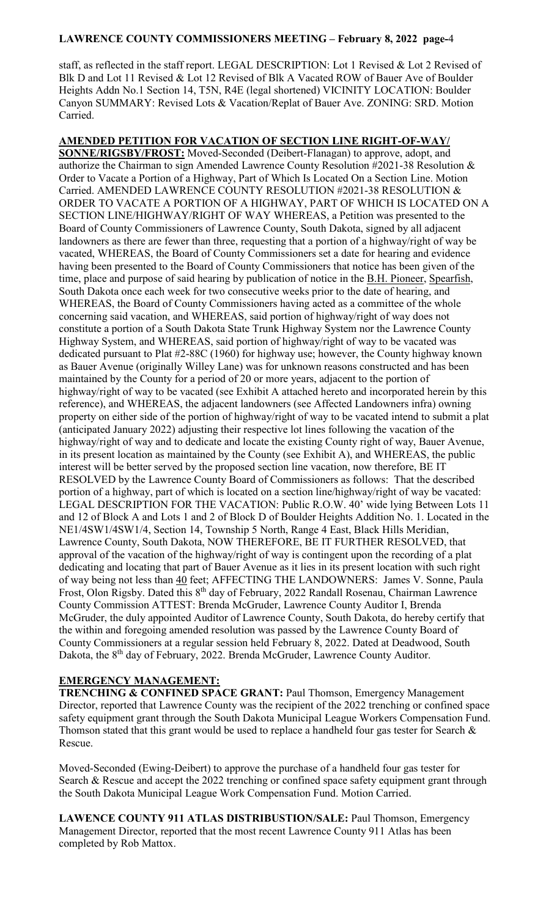staff, as reflected in the staff report. LEGAL DESCRIPTION: Lot 1 Revised & Lot 2 Revised of Blk D and Lot 11 Revised & Lot 12 Revised of Blk A Vacated ROW of Bauer Ave of Boulder Heights Addn No.1 Section 14, T5N, R4E (legal shortened) VICINITY LOCATION: Boulder Canyon SUMMARY: Revised Lots & Vacation/Replat of Bauer Ave. ZONING: SRD. Motion Carried.

**AMENDED PETITION FOR VACATION OF SECTION LINE RIGHT-OF-WAY/ SONNE/RIGSBY/FROST:** Moved-Seconded (Deibert-Flanagan) to approve, adopt, and authorize the Chairman to sign Amended Lawrence County Resolution #2021-38 Resolution & Order to Vacate a Portion of a Highway, Part of Which Is Located On a Section Line. Motion Carried. AMENDED LAWRENCE COUNTY RESOLUTION #2021-38 RESOLUTION & ORDER TO VACATE A PORTION OF A HIGHWAY, PART OF WHICH IS LOCATED ON A SECTION LINE/HIGHWAY/RIGHT OF WAY WHEREAS, a Petition was presented to the Board of County Commissioners of Lawrence County, South Dakota, signed by all adjacent landowners as there are fewer than three, requesting that a portion of a highway/right of way be vacated, WHEREAS, the Board of County Commissioners set a date for hearing and evidence having been presented to the Board of County Commissioners that notice has been given of the time, place and purpose of said hearing by publication of notice in the B.H. Pioneer, Spearfish, South Dakota once each week for two consecutive weeks prior to the date of hearing, and WHEREAS, the Board of County Commissioners having acted as a committee of the whole concerning said vacation, and WHEREAS, said portion of highway/right of way does not constitute a portion of a South Dakota State Trunk Highway System nor the Lawrence County Highway System, and WHEREAS, said portion of highway/right of way to be vacated was dedicated pursuant to Plat #2-88C (1960) for highway use; however, the County highway known as Bauer Avenue (originally Willey Lane) was for unknown reasons constructed and has been maintained by the County for a period of 20 or more years, adjacent to the portion of highway/right of way to be vacated (see Exhibit A attached hereto and incorporated herein by this reference), and WHEREAS, the adjacent landowners (see Affected Landowners infra) owning property on either side of the portion of highway/right of way to be vacated intend to submit a plat (anticipated January 2022) adjusting their respective lot lines following the vacation of the highway/right of way and to dedicate and locate the existing County right of way, Bauer Avenue, in its present location as maintained by the County (see Exhibit A), and WHEREAS, the public interest will be better served by the proposed section line vacation, now therefore, BE IT RESOLVED by the Lawrence County Board of Commissioners as follows: That the described portion of a highway, part of which is located on a section line/highway/right of way be vacated: LEGAL DESCRIPTION FOR THE VACATION: Public R.O.W. 40' wide lying Between Lots 11 and 12 of Block A and Lots 1 and 2 of Block D of Boulder Heights Addition No. 1. Located in the NE1/4SW1/4SW1/4, Section 14, Township 5 North, Range 4 East, Black Hills Meridian, Lawrence County, South Dakota, NOW THEREFORE, BE IT FURTHER RESOLVED, that approval of the vacation of the highway/right of way is contingent upon the recording of a plat dedicating and locating that part of Bauer Avenue as it lies in its present location with such right of way being not less than 40 feet; AFFECTING THE LANDOWNERS: James V. Sonne, Paula Frost, Olon Rigsby. Dated this 8<sup>th</sup> day of February, 2022 Randall Rosenau, Chairman Lawrence County Commission ATTEST: Brenda McGruder, Lawrence County Auditor I, Brenda McGruder, the duly appointed Auditor of Lawrence County, South Dakota, do hereby certify that the within and foregoing amended resolution was passed by the Lawrence County Board of County Commissioners at a regular session held February 8, 2022. Dated at Deadwood, South Dakota, the 8<sup>th</sup> day of February, 2022. Brenda McGruder, Lawrence County Auditor.

## **EMERGENCY MANAGEMENT:**

**TRENCHING & CONFINED SPACE GRANT:** Paul Thomson, Emergency Management Director, reported that Lawrence County was the recipient of the 2022 trenching or confined space safety equipment grant through the South Dakota Municipal League Workers Compensation Fund. Thomson stated that this grant would be used to replace a handheld four gas tester for Search  $\&$ Rescue.

Moved-Seconded (Ewing-Deibert) to approve the purchase of a handheld four gas tester for Search & Rescue and accept the 2022 trenching or confined space safety equipment grant through the South Dakota Municipal League Work Compensation Fund. Motion Carried.

**LAWENCE COUNTY 911 ATLAS DISTRIBUSTION/SALE:** Paul Thomson, Emergency Management Director, reported that the most recent Lawrence County 911 Atlas has been completed by Rob Mattox.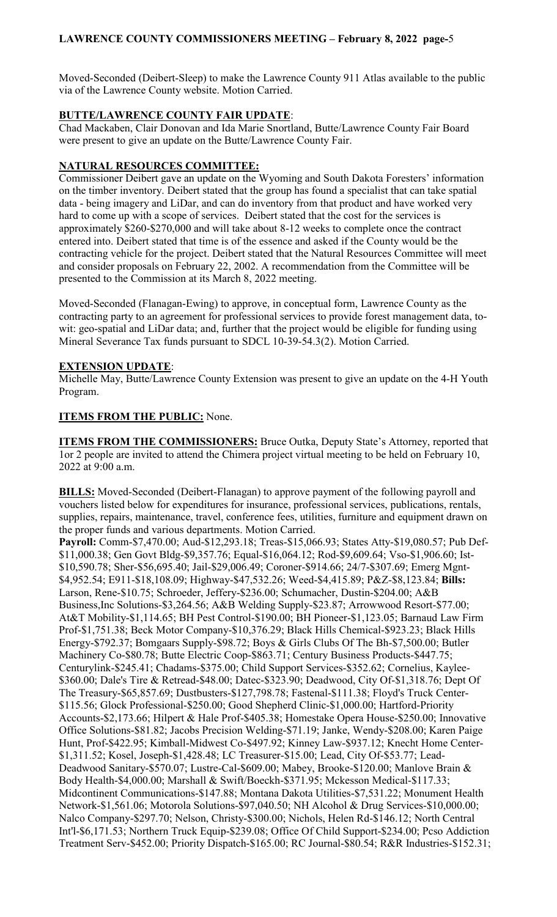Moved-Seconded (Deibert-Sleep) to make the Lawrence County 911 Atlas available to the public via of the Lawrence County website. Motion Carried.

## **BUTTE/LAWRENCE COUNTY FAIR UPDATE**:

Chad Mackaben, Clair Donovan and Ida Marie Snortland, Butte/Lawrence County Fair Board were present to give an update on the Butte/Lawrence County Fair.

## **NATURAL RESOURCES COMMITTEE:**

Commissioner Deibert gave an update on the Wyoming and South Dakota Foresters' information on the timber inventory. Deibert stated that the group has found a specialist that can take spatial data - being imagery and LiDar, and can do inventory from that product and have worked very hard to come up with a scope of services. Deibert stated that the cost for the services is approximately \$260-\$270,000 and will take about 8-12 weeks to complete once the contract entered into. Deibert stated that time is of the essence and asked if the County would be the contracting vehicle for the project. Deibert stated that the Natural Resources Committee will meet and consider proposals on February 22, 2002. A recommendation from the Committee will be presented to the Commission at its March 8, 2022 meeting.

Moved-Seconded (Flanagan-Ewing) to approve, in conceptual form, Lawrence County as the contracting party to an agreement for professional services to provide forest management data, towit: geo-spatial and LiDar data; and, further that the project would be eligible for funding using Mineral Severance Tax funds pursuant to SDCL 10-39-54.3(2). Motion Carried.

## **EXTENSION UPDATE**:

Michelle May, Butte/Lawrence County Extension was present to give an update on the 4-H Youth Program.

## **ITEMS FROM THE PUBLIC:** None.

**ITEMS FROM THE COMMISSIONERS:** Bruce Outka, Deputy State's Attorney, reported that 1or 2 people are invited to attend the Chimera project virtual meeting to be held on February 10, 2022 at 9:00 a.m.

**BILLS:** Moved-Seconded (Deibert-Flanagan) to approve payment of the following payroll and vouchers listed below for expenditures for insurance, professional services, publications, rentals, supplies, repairs, maintenance, travel, conference fees, utilities, furniture and equipment drawn on the proper funds and various departments. Motion Carried.

**Payroll:** Comm-\$7,470.00; Aud-\$12,293.18; Treas-\$15,066.93; States Atty-\$19,080.57; Pub Def- \$11,000.38; Gen Govt Bldg-\$9,357.76; Equal-\$16,064.12; Rod-\$9,609.64; Vso-\$1,906.60; Ist- \$10,590.78; Sher-\$56,695.40; Jail-\$29,006.49; Coroner-\$914.66; 24/7-\$307.69; Emerg Mgnt- \$4,952.54; E911-\$18,108.09; Highway-\$47,532.26; Weed-\$4,415.89; P&Z-\$8,123.84; **Bills:**  Larson, Rene-\$10.75; Schroeder, Jeffery-\$236.00; Schumacher, Dustin-\$204.00; A&B Business,Inc Solutions-\$3,264.56; A&B Welding Supply-\$23.87; Arrowwood Resort-\$77.00; At&T Mobility-\$1,114.65; BH Pest Control-\$190.00; BH Pioneer-\$1,123.05; Barnaud Law Firm Prof-\$1,751.38; Beck Motor Company-\$10,376.29; Black Hills Chemical-\$923.23; Black Hills Energy-\$792.37; Bomgaars Supply-\$98.72; Boys & Girls Clubs Of The Bh-\$7,500.00; Butler Machinery Co-\$80.78; Butte Electric Coop-\$863.71; Century Business Products-\$447.75; Centurylink-\$245.41; Chadams-\$375.00; Child Support Services-\$352.62; Cornelius, Kaylee- \$360.00; Dale's Tire & Retread-\$48.00; Datec-\$323.90; Deadwood, City Of-\$1,318.76; Dept Of The Treasury-\$65,857.69; Dustbusters-\$127,798.78; Fastenal-\$111.38; Floyd's Truck Center- \$115.56; Glock Professional-\$250.00; Good Shepherd Clinic-\$1,000.00; Hartford-Priority Accounts-\$2,173.66; Hilpert & Hale Prof-\$405.38; Homestake Opera House-\$250.00; Innovative Office Solutions-\$81.82; Jacobs Precision Welding-\$71.19; Janke, Wendy-\$208.00; Karen Paige Hunt, Prof-\$422.95; Kimball-Midwest Co-\$497.92; Kinney Law-\$937.12; Knecht Home Center- \$1,311.52; Kosel, Joseph-\$1,428.48; LC Treasurer-\$15.00; Lead, City Of-\$53.77; Lead-Deadwood Sanitary-\$570.07; Lustre-Cal-\$609.00; Mabey, Brooke-\$120.00; Manlove Brain & Body Health-\$4,000.00; Marshall & Swift/Boeckh-\$371.95; Mckesson Medical-\$117.33; Midcontinent Communications-\$147.88; Montana Dakota Utilities-\$7,531.22; Monument Health Network-\$1,561.06; Motorola Solutions-\$97,040.50; NH Alcohol & Drug Services-\$10,000.00; Nalco Company-\$297.70; Nelson, Christy-\$300.00; Nichols, Helen Rd-\$146.12; North Central Int'l-\$6,171.53; Northern Truck Equip-\$239.08; Office Of Child Support-\$234.00; Pcso Addiction Treatment Serv-\$452.00; Priority Dispatch-\$165.00; RC Journal-\$80.54; R&R Industries-\$152.31;